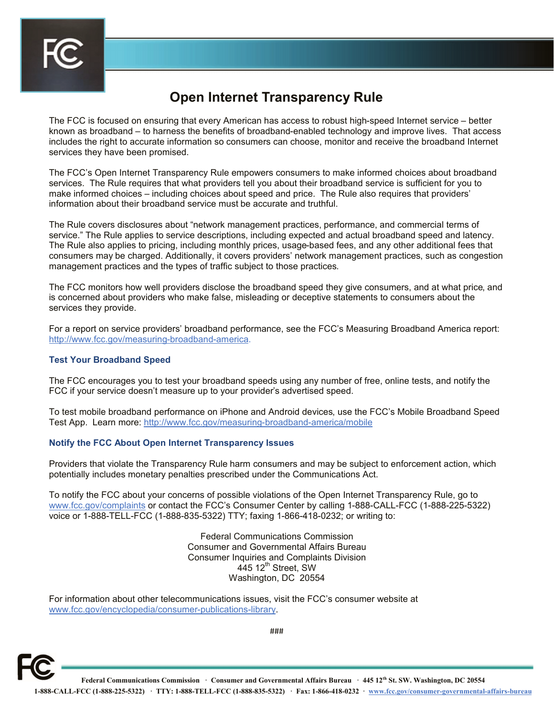

## **Open Internet Transparency Rule**

The FCC is focused on ensuring that every American has access to robust high-speed Internet service – better known as broadband – to harness the benefits of broadband-enabled technology and improve lives. That access includes the right to accurate information so consumers can choose, monitor and receive the broadband Internet services they have been promised.

The FCC's Open Internet Transparency Rule empowers consumers to make informed choices about broadband services. The Rule requires that what providers tell you about their broadband service is sufficient for you to make informed choices – including choices about speed and price. The Rule also requires that providers' information about their broadband service must be accurate and truthful.

The Rule covers disclosures about "network management practices, performance, and commercial terms of service." The Rule applies to service descriptions, including expected and actual broadband speed and latency. The Rule also applies to pricing, including monthly prices, usage-based fees, and any other additional fees that consumers may be charged. Additionally, it covers providers' network management practices, such as congestion management practices and the types of traffic subject to those practices.

The FCC monitors how well providers disclose the broadband speed they give consumers, and at what price, and is concerned about providers who make false, misleading or deceptive statements to consumers about the services they provide.

For a report on service providers' broadband performance, see the FCC's Measuring Broadband America report: http://www.fcc.gov/measuring-broadband-america.

## **Test Your Broadband Speed**

The FCC encourages you to test your broadband speeds using any number of free, online tests, and notify the FCC if your service doesn't measure up to your provider's advertised speed.

To test mobile broadband performance on iPhone and Android devices, use the FCC's Mobile Broadband Speed Test App. Learn more: http://www.fcc.gov/measuring-broadband-america/mobile

## **Notify the FCC About Open Internet Transparency Issues**

Providers that violate the Transparency Rule harm consumers and may be subject to enforcement action, which potentially includes monetary penalties prescribed under the Communications Act.

To notify the FCC about your concerns of possible violations of the Open Internet Transparency Rule, go to www.fcc.gov/complaints or contact the FCC's Consumer Center by calling 1-888-CALL-FCC (1-888-225-5322) voice or 1-888-TELL-FCC (1-888-835-5322) TTY; faxing 1-866-418-0232; or writing to:

> Federal Communications Commission Consumer and Governmental Affairs Bureau Consumer Inquiries and Complaints Division  $445$  12<sup>th</sup> Street, SW Washington, DC 20554

For information about other telecommunications issues, visit the FCC's consumer website at www.fcc.gov/encyclopedia/consumer-publications-library.



**Federal Communications Commission · Consumer and Governmental Affairs Bureau · 445 12th St. SW. Washington, DC 20554 1-888-CALL-FCC (1-888-225-5322) · TTY: 1-888-TELL-FCC (1-888-835-5322) · Fax: 1-866-418-0232 · www.fcc.gov/consumer-governmental-affairs-bureau**

###